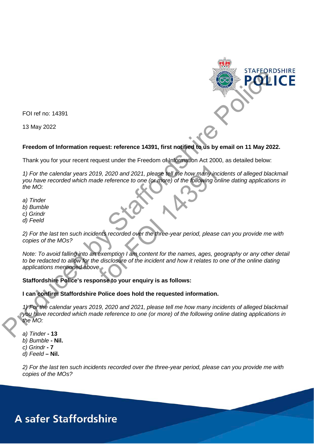

FOI ref no: 14391

13 May 2022

## **Freedom of Information request: reference 14391, first notified to us by email on 11 May 2022.**

Thank you for your recent request under the Freedom of Information Act 2000, as detailed below:

*1) For the calendar years 2019, 2020 and 2021, please tell me how many incidents of alleged blackmail you have recorded which made reference to one (or more) of the following online dating applications in the MO:* 19, 2020 and 2021, please tell me how many incide<br>de reference to one (or more) of the following online<br>the following online<br>ents recorded over the three-year period, please can<br>exemption I am content for the names, ages,

- *a) Tinder*
- *b) Bumble*
- *c) Grindr*
- *d) Feeld*

*2) For the last ten such incidents recorded over the three-year period, please can you provide me with copies of the MOs?* 

*Note: To avoid falling into an exemption I am content for the names, ages, geography or any other detail to be redacted to allow for the disclosure of the incident and how it relates to one of the online dating applications mentioned above.*

## **Staffordshire Police's response to your enquiry is as follows:**

#### **I can confirm Staffordshire Police does hold the requested information.**

*1) For the calendar years 2019, 2020 and 2021, please tell me how many incidents of alleged blackmail you have recorded which made reference to one (or more) of the following online dating applications in the MO:*

*a) Tinder* **- 13** *b) Bumble* **- Nil.** *c) Grindr* **- 7** *d) Feeld* **– Nil.**

*2) For the last ten such incidents recorded over the three-year period, please can you provide me with copies of the MOs?*

# **A safer Staffordshire**